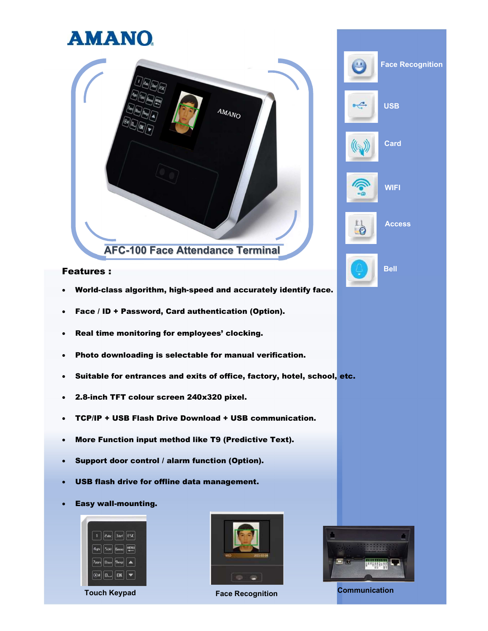## **AMANO**



### **Features : Example 20 Bell Example 20 Bell Example 20 Bell**

- World-class algorithm, high-speed and accurately identify face.
- Face / ID + Password, Card authentication (Option).
- Real time monitoring for employees' clocking.
- Photo downloading is selectable for manual verification.
- Suitable for entrances and exits of office, factory, hotel, school, etc.
- 2.8-inch TFT colour screen 240x320 pixel.
- TCP/IP + USB Flash Drive Download + USB communication.
- More Function input method like T9 (Predictive Text).
- Support door control / alarm function (Option).
- USB flash drive for offline data management.
- Easy wall-mounting.







Face Recognition

**USB** 

Card

**WIFI** 

6

 $\odot$ 

Access

Touch Keypad **Face Recognition** Face Recognition Communication